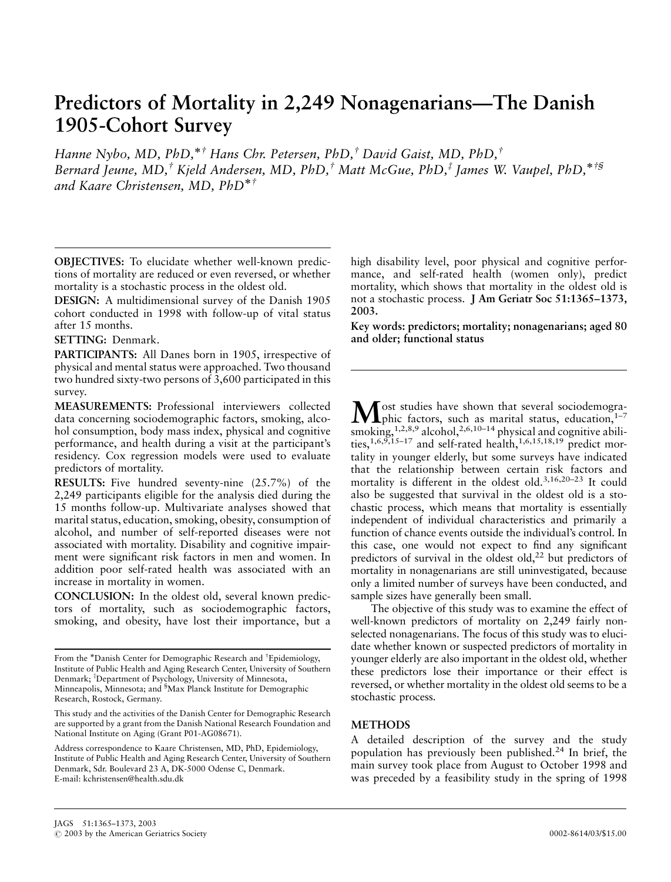# Predictors of Mortality in 2,249 Nonagenarians—The Danish 1905-Cohort Survey

Hanne Nybo, MD, PhD,\*<sup>†</sup> Hans Chr. Petersen, PhD,<sup>†</sup> David Gaist, MD, PhD,<sup>†</sup> Bernard Jeune, MD,<sup>†</sup> Kjeld Andersen, MD, PhD,<sup>†</sup> Matt McGue, PhD,<sup>‡</sup> James W. Vaupel, PhD,<sup>\*†§</sup> and Kaare Christensen, MD,  $PhD^{*^{\dagger}}$ 

OBJECTIVES: To elucidate whether well-known predictions of mortality are reduced or even reversed, or whether mortality is a stochastic process in the oldest old.

DESIGN: A multidimensional survey of the Danish 1905 cohort conducted in 1998 with follow-up of vital status after 15 months.

## SETTING: Denmark.

PARTICIPANTS: All Danes born in 1905, irrespective of physical and mental status were approached. Two thousand two hundred sixty-two persons of 3,600 participated in this survey.

MEASUREMENTS: Professional interviewers collected data concerning sociodemographic factors, smoking, alcohol consumption, body mass index, physical and cognitive performance, and health during a visit at the participant's residency. Cox regression models were used to evaluate predictors of mortality.

RESULTS: Five hundred seventy-nine (25.7%) of the 2,249 participants eligible for the analysis died during the 15 months follow-up. Multivariate analyses showed that marital status, education, smoking, obesity, consumption of alcohol, and number of self-reported diseases were not associated with mortality. Disability and cognitive impairment were significant risk factors in men and women. In addition poor self-rated health was associated with an increase in mortality in women.

CONCLUSION: In the oldest old, several known predictors of mortality, such as sociodemographic factors, smoking, and obesity, have lost their importance, but a high disability level, poor physical and cognitive performance, and self-rated health (women only), predict mortality, which shows that mortality in the oldest old is not a stochastic process. J Am Geriatr Soc 51:1365–1373, 2003.

Key words: predictors; mortality; nonagenarians; aged 80 and older; functional status

 $M_{\text{phic factors, such as marital status, education,}^{1-7}}$ smoking,<sup>1,2,8,9</sup> alcohol,<sup>2,6,10-14</sup> physical and cognitive abilities,<sup>1,6,9,15–17</sup> and self-rated health,<sup>1,6,15,18,19</sup> predict mortality in younger elderly, but some surveys have indicated that the relationship between certain risk factors and mortality is different in the oldest old.3,16,20–23 It could also be suggested that survival in the oldest old is a stochastic process, which means that mortality is essentially independent of individual characteristics and primarily a function of chance events outside the individual's control. In this case, one would not expect to find any significant predictors of survival in the oldest old,<sup>22</sup> but predictors of mortality in nonagenarians are still uninvestigated, because only a limited number of surveys have been conducted, and sample sizes have generally been small.

The objective of this study was to examine the effect of well-known predictors of mortality on 2,249 fairly nonselected nonagenarians. The focus of this study was to elucidate whether known or suspected predictors of mortality in younger elderly are also important in the oldest old, whether these predictors lose their importance or their effect is reversed, or whether mortality in the oldest old seems to be a stochastic process.

## **METHODS**

A detailed description of the survey and the study population has previously been published.<sup>24</sup> In brief, the main survey took place from August to October 1998 and was preceded by a feasibility study in the spring of 1998

From the \*Danish Center for Demographic Research and <sup>†</sup>Epidemiology, Institute of Public Health and Aging Research Center, University of Southern Denmark; <sup>‡</sup>Department of Psychology, University of Minnesota, Minneapolis, Minnesota; and <sup>§</sup>Max Planck Institute for Demographic Research, Rostock, Germany.

This study and the activities of the Danish Center for Demographic Research are supported by a grant from the Danish National Research Foundation and National Institute on Aging (Grant P01-AG08671).

Address correspondence to Kaare Christensen, MD, PhD, Epidemiology, Institute of Public Health and Aging Research Center, University of Southern Denmark, Sdr. Boulevard 23 A, DK-5000 Odense C, Denmark. E-mail: kchristensen@health.sdu.dk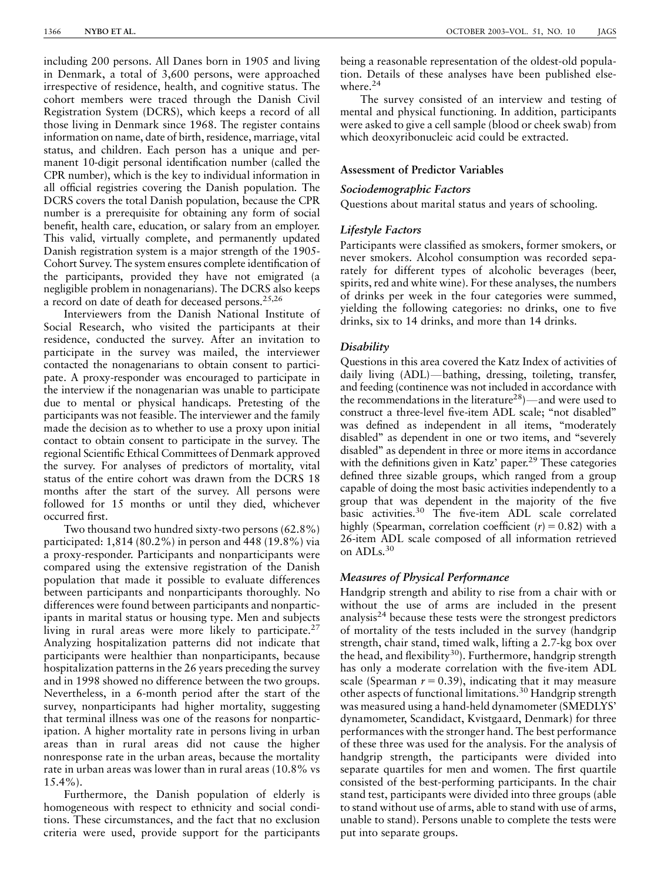including 200 persons. All Danes born in 1905 and living in Denmark, a total of 3,600 persons, were approached irrespective of residence, health, and cognitive status. The cohort members were traced through the Danish Civil Registration System (DCRS), which keeps a record of all those living in Denmark since 1968. The register contains information on name, date of birth, residence, marriage, vital status, and children. Each person has a unique and permanent 10-digit personal identification number (called the CPR number), which is the key to individual information in all official registries covering the Danish population. The DCRS covers the total Danish population, because the CPR number is a prerequisite for obtaining any form of social benefit, health care, education, or salary from an employer. This valid, virtually complete, and permanently updated Danish registration system is a major strength of the 1905- Cohort Survey. The system ensures complete identification of the participants, provided they have not emigrated (a negligible problem in nonagenarians). The DCRS also keeps a record on date of death for deceased persons.25,26

Interviewers from the Danish National Institute of Social Research, who visited the participants at their residence, conducted the survey. After an invitation to participate in the survey was mailed, the interviewer contacted the nonagenarians to obtain consent to participate. A proxy-responder was encouraged to participate in the interview if the nonagenarian was unable to participate due to mental or physical handicaps. Pretesting of the participants was not feasible. The interviewer and the family made the decision as to whether to use a proxy upon initial contact to obtain consent to participate in the survey. The regional Scientific Ethical Committees of Denmark approved the survey. For analyses of predictors of mortality, vital status of the entire cohort was drawn from the DCRS 18 months after the start of the survey. All persons were followed for 15 months or until they died, whichever occurred first.

Two thousand two hundred sixty-two persons (62.8%) participated: 1,814 (80.2%) in person and 448 (19.8%) via a proxy-responder. Participants and nonparticipants were compared using the extensive registration of the Danish population that made it possible to evaluate differences between participants and nonparticipants thoroughly. No differences were found between participants and nonparticipants in marital status or housing type. Men and subjects living in rural areas were more likely to participate.<sup>27</sup> Analyzing hospitalization patterns did not indicate that participants were healthier than nonparticipants, because hospitalization patterns in the 26 years preceding the survey and in 1998 showed no difference between the two groups. Nevertheless, in a 6-month period after the start of the survey, nonparticipants had higher mortality, suggesting that terminal illness was one of the reasons for nonparticipation. A higher mortality rate in persons living in urban areas than in rural areas did not cause the higher nonresponse rate in the urban areas, because the mortality rate in urban areas was lower than in rural areas (10.8% vs 15.4%).

Furthermore, the Danish population of elderly is homogeneous with respect to ethnicity and social conditions. These circumstances, and the fact that no exclusion criteria were used, provide support for the participants being a reasonable representation of the oldest-old population. Details of these analyses have been published elsewhere.<sup>24</sup>

The survey consisted of an interview and testing of mental and physical functioning. In addition, participants were asked to give a cell sample (blood or cheek swab) from which deoxyribonucleic acid could be extracted.

## Assessment of Predictor Variables

#### Sociodemographic Factors

Questions about marital status and years of schooling.

## Lifestyle Factors

Participants were classified as smokers, former smokers, or never smokers. Alcohol consumption was recorded separately for different types of alcoholic beverages (beer, spirits, red and white wine). For these analyses, the numbers of drinks per week in the four categories were summed, yielding the following categories: no drinks, one to five drinks, six to 14 drinks, and more than 14 drinks.

## Disability

Questions in this area covered the Katz Index of activities of daily living (ADL)-bathing, dressing, toileting, transfer, and feeding (continence was not included in accordance with the recommendations in the literature<sup>28</sup> $)$ —and were used to construct a three-level five-item ADL scale; ''not disabled'' was defined as independent in all items, "moderately disabled'' as dependent in one or two items, and ''severely disabled'' as dependent in three or more items in accordance with the definitions given in Katz' paper.<sup>29</sup> These categories defined three sizable groups, which ranged from a group capable of doing the most basic activities independently to a group that was dependent in the majority of the five basic activities.30 The five-item ADL scale correlated highly (Spearman, correlation coefficient  $(r) = 0.82$ ) with a 26-item ADL scale composed of all information retrieved on ADLs.30

#### Measures of Physical Performance

Handgrip strength and ability to rise from a chair with or without the use of arms are included in the present analysis<sup>24</sup> because these tests were the strongest predictors of mortality of the tests included in the survey (handgrip strength, chair stand, timed walk, lifting a 2.7-kg box over the head, and flexibility<sup>30</sup>). Furthermore, handgrip strength has only a moderate correlation with the five-item ADL scale (Spearman  $r = 0.39$ ), indicating that it may measure other aspects of functional limitations.30 Handgrip strength was measured using a hand-held dynamometer (SMEDLYS' dynamometer, Scandidact, Kvistgaard, Denmark) for three performances with the stronger hand. The best performance of these three was used for the analysis. For the analysis of handgrip strength, the participants were divided into separate quartiles for men and women. The first quartile consisted of the best-performing participants. In the chair stand test, participants were divided into three groups (able to stand without use of arms, able to stand with use of arms, unable to stand). Persons unable to complete the tests were put into separate groups.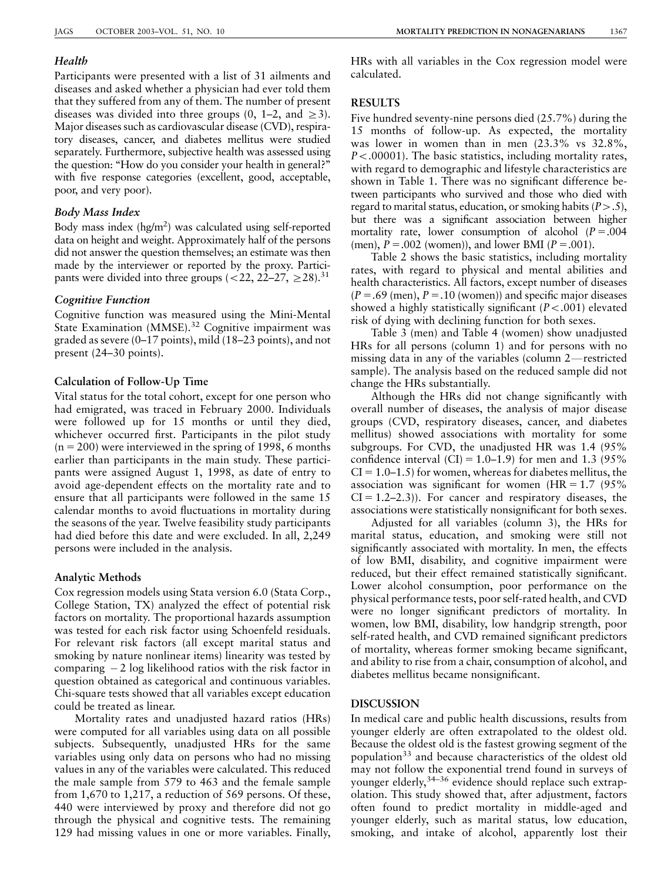## Health

Participants were presented with a list of 31 ailments and diseases and asked whether a physician had ever told them that they suffered from any of them. The number of present diseases was divided into three groups  $(0, 1-2,$  and  $\geq 3)$ . Major diseases such as cardiovascular disease (CVD), respiratory diseases, cancer, and diabetes mellitus were studied separately. Furthermore, subjective health was assessed using the question: ''How do you consider your health in general?'' with five response categories (excellent, good, acceptable, poor, and very poor).

## Body Mass Index

Body mass index (hg/m2 ) was calculated using self-reported data on height and weight. Approximately half of the persons did not answer the question themselves; an estimate was then made by the interviewer or reported by the proxy. Participants were divided into three groups  $(<22, 22-27, \geq 28).$ <sup>31</sup>

## Cognitive Function

Cognitive function was measured using the Mini-Mental State Examination (MMSE).<sup>32</sup> Cognitive impairment was graded as severe (0–17 points), mild (18–23 points), and not present (24–30 points).

## Calculation of Follow-Up Time

Vital status for the total cohort, except for one person who had emigrated, was traced in February 2000. Individuals were followed up for 15 months or until they died, whichever occurred first. Participants in the pilot study  $(n = 200)$  were interviewed in the spring of 1998, 6 months earlier than participants in the main study. These participants were assigned August 1, 1998, as date of entry to avoid age-dependent effects on the mortality rate and to ensure that all participants were followed in the same 15 calendar months to avoid fluctuations in mortality during the seasons of the year. Twelve feasibility study participants had died before this date and were excluded. In all, 2,249 persons were included in the analysis.

## Analytic Methods

Cox regression models using Stata version 6.0 (Stata Corp., College Station, TX) analyzed the effect of potential risk factors on mortality. The proportional hazards assumption was tested for each risk factor using Schoenfeld residuals. For relevant risk factors (all except marital status and smoking by nature nonlinear items) linearity was tested by comparing  $-2$  log likelihood ratios with the risk factor in question obtained as categorical and continuous variables. Chi-square tests showed that all variables except education could be treated as linear.

Mortality rates and unadjusted hazard ratios (HRs) were computed for all variables using data on all possible subjects. Subsequently, unadjusted HRs for the same variables using only data on persons who had no missing values in any of the variables were calculated. This reduced the male sample from 579 to 463 and the female sample from 1,670 to 1,217, a reduction of 569 persons. Of these, 440 were interviewed by proxy and therefore did not go through the physical and cognitive tests. The remaining 129 had missing values in one or more variables. Finally,

HRs with all variables in the Cox regression model were calculated.

## RESULTS

Five hundred seventy-nine persons died (25.7%) during the 15 months of follow-up. As expected, the mortality was lower in women than in men (23.3% vs 32.8%,  $P < .00001$ ). The basic statistics, including mortality rates, with regard to demographic and lifestyle characteristics are shown in Table 1. There was no significant difference between participants who survived and those who died with regard to marital status, education, or smoking habits  $(P > .5)$ , but there was a significant association between higher mortality rate, lower consumption of alcohol  $(P=.004)$ (men),  $P = .002$  (women)), and lower BMI ( $P = .001$ ).

Table 2 shows the basic statistics, including mortality rates, with regard to physical and mental abilities and health characteristics. All factors, except number of diseases  $(P = .69$  (men),  $P = .10$  (women)) and specific major diseases showed a highly statistically significant  $(P < .001)$  elevated risk of dying with declining function for both sexes.

Table 3 (men) and Table 4 (women) show unadjusted HRs for all persons (column 1) and for persons with no missing data in any of the variables (column  $2$ —restricted sample). The analysis based on the reduced sample did not change the HRs substantially.

Although the HRs did not change significantly with overall number of diseases, the analysis of major disease groups (CVD, respiratory diseases, cancer, and diabetes mellitus) showed associations with mortality for some subgroups. For CVD, the unadjusted HR was 1.4 (95% confidence interval  $(CI) = 1.0-1.9$  for men and 1.3 (95%)  $CI = 1.0-1.5$  for women, whereas for diabetes mellitus, the association was significant for women  $(HR = 1.7 \, (95\%)$  $CI = 1.2-2.3$ ). For cancer and respiratory diseases, the associations were statistically nonsignificant for both sexes.

Adjusted for all variables (column 3), the HRs for marital status, education, and smoking were still not significantly associated with mortality. In men, the effects of low BMI, disability, and cognitive impairment were reduced, but their effect remained statistically significant. Lower alcohol consumption, poor performance on the physical performance tests, poor self-rated health, and CVD were no longer significant predictors of mortality. In women, low BMI, disability, low handgrip strength, poor self-rated health, and CVD remained significant predictors of mortality, whereas former smoking became significant, and ability to rise from a chair, consumption of alcohol, and diabetes mellitus became nonsignificant.

## DISCUSSION

In medical care and public health discussions, results from younger elderly are often extrapolated to the oldest old. Because the oldest old is the fastest growing segment of the population<sup>33</sup> and because characteristics of the oldest old may not follow the exponential trend found in surveys of younger elderly,<sup>34–36</sup> evidence should replace such extrapolation. This study showed that, after adjustment, factors often found to predict mortality in middle-aged and younger elderly, such as marital status, low education, smoking, and intake of alcohol, apparently lost their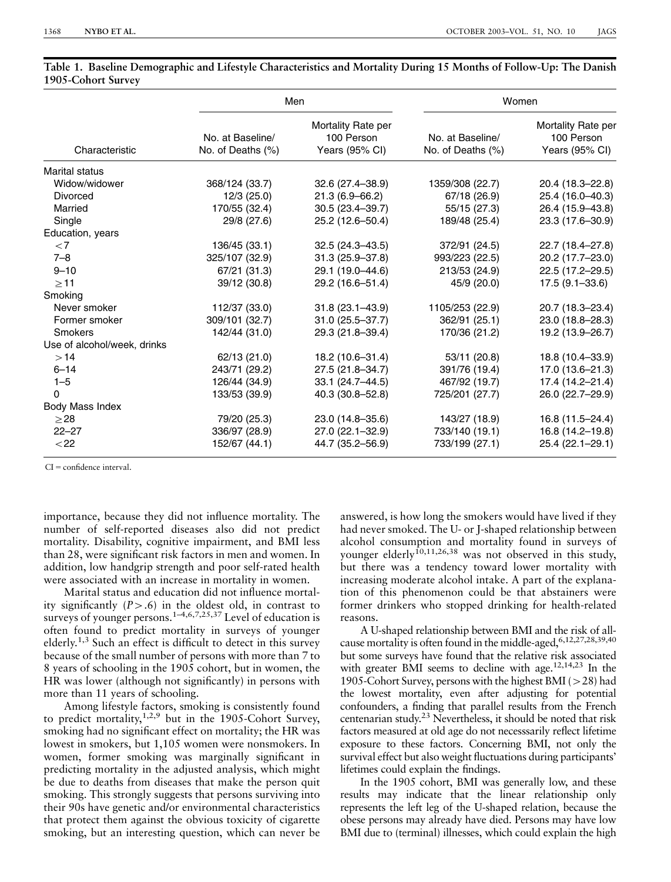|                             |                                       | Men                                                | Women                                 |                                                    |  |  |
|-----------------------------|---------------------------------------|----------------------------------------------------|---------------------------------------|----------------------------------------------------|--|--|
| Characteristic              | No. at Baseline/<br>No. of Deaths (%) | Mortality Rate per<br>100 Person<br>Years (95% CI) | No. at Baseline/<br>No. of Deaths (%) | Mortality Rate per<br>100 Person<br>Years (95% CI) |  |  |
| <b>Marital status</b>       |                                       |                                                    |                                       |                                                    |  |  |
| Widow/widower               | 368/124 (33.7)                        | $32.6(27.4 - 38.9)$                                | 1359/308 (22.7)                       | 20.4 (18.3-22.8)                                   |  |  |
| <b>Divorced</b>             | 12/3(25.0)                            | $21.3(6.9 - 66.2)$                                 | 67/18 (26.9)                          | 25.4 (16.0–40.3)                                   |  |  |
| Married                     | 170/55 (32.4)                         | 30.5 (23.4-39.7)                                   | 55/15 (27.3)                          | 26.4 (15.9-43.8)                                   |  |  |
| Single                      | 29/8 (27.6)                           | 25.2 (12.6-50.4)                                   | 189/48 (25.4)                         | 23.3 (17.6-30.9)                                   |  |  |
| Education, years            |                                       |                                                    |                                       |                                                    |  |  |
| ${<}7$                      | 136/45 (33.1)                         | $32.5(24.3 - 43.5)$                                | 372/91 (24.5)                         | 22.7 (18.4-27.8)                                   |  |  |
| $7 - 8$                     | 325/107 (32.9)                        | $31.3(25.9 - 37.8)$                                | 993/223 (22.5)                        | 20.2 (17.7-23.0)                                   |  |  |
| $9 - 10$                    | 67/21 (31.3)                          | 29.1 (19.0-44.6)                                   | 213/53 (24.9)                         | 22.5 (17.2-29.5)                                   |  |  |
| >11                         | 39/12 (30.8)                          | 29.2 (16.6-51.4)                                   | 45/9 (20.0)                           | $17.5(9.1 - 33.6)$                                 |  |  |
| Smoking                     |                                       |                                                    |                                       |                                                    |  |  |
| Never smoker                | 112/37 (33.0)                         | $31.8(23.1 - 43.9)$                                | 1105/253 (22.9)                       | 20.7 (18.3-23.4)                                   |  |  |
| Former smoker               | 309/101 (32.7)                        | 31.0 (25.5-37.7)                                   | 362/91 (25.1)                         | 23.0 (18.8-28.3)                                   |  |  |
| <b>Smokers</b>              | 142/44 (31.0)                         | 29.3 (21.8-39.4)                                   | 170/36 (21.2)                         | 19.2 (13.9-26.7)                                   |  |  |
| Use of alcohol/week, drinks |                                       |                                                    |                                       |                                                    |  |  |
| >14                         | 62/13 (21.0)                          | 18.2 (10.6-31.4)                                   | 53/11 (20.8)                          | 18.8 (10.4-33.9)                                   |  |  |
| $6 - 14$                    | 243/71 (29.2)                         | 27.5 (21.8-34.7)                                   | 391/76 (19.4)                         | 17.0 (13.6-21.3)                                   |  |  |
| $1 - 5$                     | 126/44 (34.9)                         | 33.1 (24.7-44.5)                                   | 467/92 (19.7)                         | 17.4 (14.2-21.4)                                   |  |  |
| $\Omega$                    | 133/53 (39.9)                         | 40.3 (30.8–52.8)                                   | 725/201 (27.7)                        | 26.0 (22.7-29.9)                                   |  |  |
| Body Mass Index             |                                       |                                                    |                                       |                                                    |  |  |
| $\geq$ 28                   | 79/20 (25.3)                          | 23.0 (14.8-35.6)                                   | 143/27 (18.9)                         | 16.8 (11.5-24.4)                                   |  |  |
| $22 - 27$                   | 336/97 (28.9)                         | 27.0 (22.1-32.9)                                   | 733/140 (19.1)                        | 16.8 (14.2-19.8)                                   |  |  |
| $22$                        | 152/67 (44.1)                         | 44.7 (35.2-56.9)                                   | 733/199 (27.1)                        | 25.4 (22.1-29.1)                                   |  |  |

|                    | Table 1.  Baseline Demographic and Lifestyle Characteristics and Mortality During 15 Months of Follow-Up: The Danish |  |  |  |  |  |  |
|--------------------|----------------------------------------------------------------------------------------------------------------------|--|--|--|--|--|--|
| 1905-Cohort Survey |                                                                                                                      |  |  |  |  |  |  |

 $CI =$  confidence interval.

importance, because they did not influence mortality. The number of self-reported diseases also did not predict mortality. Disability, cognitive impairment, and BMI less than 28, were significant risk factors in men and women. In addition, low handgrip strength and poor self-rated health were associated with an increase in mortality in women.

Marital status and education did not influence mortality significantly  $(P>0.6)$  in the oldest old, in contrast to surveys of younger persons.<sup>1-4,6,7,25,37</sup> Level of education is often found to predict mortality in surveys of younger elderly.1,3 Such an effect is difficult to detect in this survey because of the small number of persons with more than 7 to 8 years of schooling in the 1905 cohort, but in women, the HR was lower (although not significantly) in persons with more than 11 years of schooling.

Among lifestyle factors, smoking is consistently found to predict mortality,1,2,9 but in the 1905-Cohort Survey, smoking had no significant effect on mortality; the HR was lowest in smokers, but 1,105 women were nonsmokers. In women, former smoking was marginally significant in predicting mortality in the adjusted analysis, which might be due to deaths from diseases that make the person quit smoking. This strongly suggests that persons surviving into their 90s have genetic and/or environmental characteristics that protect them against the obvious toxicity of cigarette smoking, but an interesting question, which can never be

answered, is how long the smokers would have lived if they had never smoked. The U- or J-shaped relationship between alcohol consumption and mortality found in surveys of younger elderly<sup> $10,11,26,38$ </sup> was not observed in this study, but there was a tendency toward lower mortality with increasing moderate alcohol intake. A part of the explanation of this phenomenon could be that abstainers were former drinkers who stopped drinking for health-related reasons.

A U-shaped relationship between BMI and the risk of allcause mortality is often found in the middle-aged, 6,12,27,28,39,40 but some surveys have found that the relative risk associated with greater BMI seems to decline with age.<sup>12,14,23</sup> In the 1905-Cohort Survey, persons with the highest BMI ( $>$ 28) had the lowest mortality, even after adjusting for potential confounders, a finding that parallel results from the French centenarian study.23 Nevertheless, it should be noted that risk factors measured at old age do not necesssarily reflect lifetime exposure to these factors. Concerning BMI, not only the survival effect but also weight fluctuations during participants' lifetimes could explain the findings.

In the 1905 cohort, BMI was generally low, and these results may indicate that the linear relationship only represents the left leg of the U-shaped relation, because the obese persons may already have died. Persons may have low BMI due to (terminal) illnesses, which could explain the high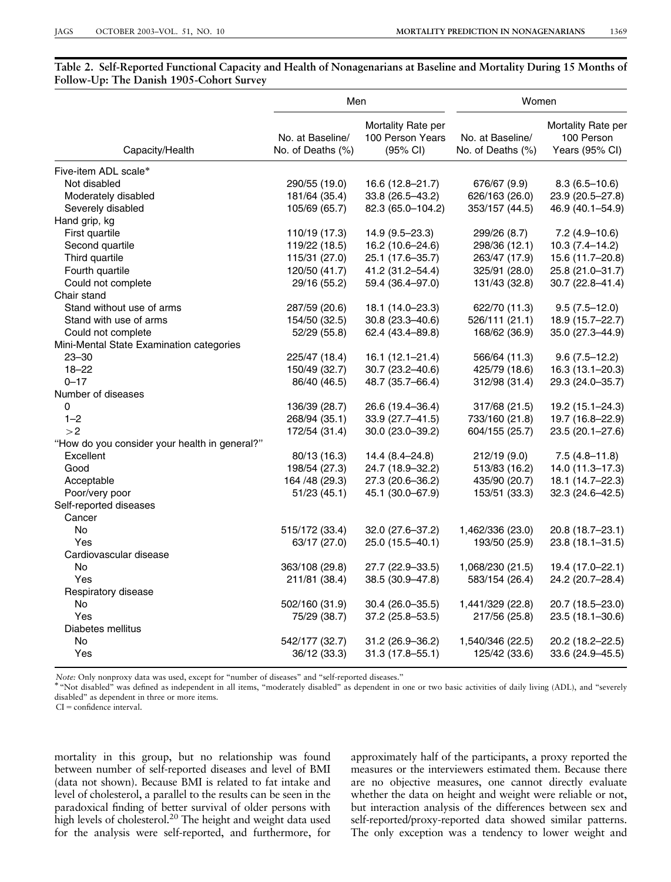## Table 2. Self-Reported Functional Capacity and Health of Nonagenarians at Baseline and Mortality During 15 Months of Follow-Up: The Danish 1905-Cohort Survey

|                                               | Men                                   |                                                    | Women                                 |                                                    |  |  |
|-----------------------------------------------|---------------------------------------|----------------------------------------------------|---------------------------------------|----------------------------------------------------|--|--|
| Capacity/Health                               | No. at Baseline/<br>No. of Deaths (%) | Mortality Rate per<br>100 Person Years<br>(95% CI) | No. at Baseline/<br>No. of Deaths (%) | Mortality Rate per<br>100 Person<br>Years (95% CI) |  |  |
| Five-item ADL scale*                          |                                       |                                                    |                                       |                                                    |  |  |
| Not disabled                                  | 290/55 (19.0)                         | 16.6 (12.8–21.7)                                   | 676/67 (9.9)                          | $8.3(6.5-10.6)$                                    |  |  |
| Moderately disabled                           | 181/64 (35.4)                         | 33.8 (26.5-43.2)                                   | 626/163 (26.0)                        | 23.9 (20.5-27.8)                                   |  |  |
| Severely disabled                             | 105/69 (65.7)                         | 82.3 (65.0-104.2)                                  | 353/157 (44.5)                        | 46.9 (40.1-54.9)                                   |  |  |
| Hand grip, kg                                 |                                       |                                                    |                                       |                                                    |  |  |
| First quartile                                | 110/19 (17.3)                         | 14.9 (9.5-23.3)                                    | 299/26 (8.7)                          | $7.2(4.9 - 10.6)$                                  |  |  |
| Second quartile                               | 119/22 (18.5)                         | 16.2 (10.6-24.6)                                   | 298/36 (12.1)                         | $10.3(7.4 - 14.2)$                                 |  |  |
| Third quartile                                | 115/31 (27.0)                         | 25.1 (17.6-35.7)                                   | 263/47 (17.9)                         | 15.6 (11.7-20.8)                                   |  |  |
| Fourth quartile                               | 120/50 (41.7)                         | 41.2 (31.2-54.4)                                   | 325/91 (28.0)                         | 25.8 (21.0-31.7)                                   |  |  |
| Could not complete                            | 29/16 (55.2)                          | 59.4 (36.4-97.0)                                   | 131/43 (32.8)                         | 30.7 (22.8-41.4)                                   |  |  |
| Chair stand                                   |                                       |                                                    |                                       |                                                    |  |  |
| Stand without use of arms                     | 287/59 (20.6)                         | 18.1 (14.0-23.3)                                   | 622/70 (11.3)                         | $9.5(7.5-12.0)$                                    |  |  |
| Stand with use of arms                        | 154/50 (32.5)                         | 30.8 (23.3-40.6)                                   | 526/111 (21.1)                        | 18.9 (15.7-22.7)                                   |  |  |
| Could not complete                            | 52/29 (55.8)                          | 62.4 (43.4-89.8)                                   | 168/62 (36.9)                         | 35.0 (27.3-44.9)                                   |  |  |
| Mini-Mental State Examination categories      |                                       |                                                    |                                       |                                                    |  |  |
| $23 - 30$                                     | 225/47 (18.4)                         | $16.1(12.1 - 21.4)$                                | 566/64 (11.3)                         | $9.6(7.5-12.2)$                                    |  |  |
| $18 - 22$                                     | 150/49 (32.7)                         | 30.7 (23.2-40.6)                                   | 425/79 (18.6)                         | 16.3 (13.1-20.3)                                   |  |  |
| $0 - 17$                                      | 86/40 (46.5)                          | 48.7 (35.7-66.4)                                   | 312/98 (31.4)                         | 29.3 (24.0-35.7)                                   |  |  |
| Number of diseases                            |                                       |                                                    |                                       |                                                    |  |  |
| 0                                             | 136/39 (28.7)                         | 26.6 (19.4-36.4)                                   | 317/68 (21.5)                         | $19.2(15.1 - 24.3)$                                |  |  |
| $1 - 2$                                       | 268/94 (35.1)                         | 33.9 (27.7-41.5)                                   | 733/160 (21.8)                        | 19.7 (16.8-22.9)                                   |  |  |
| >2                                            | 172/54 (31.4)                         | 30.0 (23.0-39.2)                                   | 604/155 (25.7)                        | 23.5 (20.1-27.6)                                   |  |  |
| "How do you consider your health in general?" |                                       |                                                    |                                       |                                                    |  |  |
| Excellent                                     | 80/13 (16.3)                          | $14.4(8.4 - 24.8)$                                 | 212/19 (9.0)                          | $7.5(4.8 - 11.8)$                                  |  |  |
| Good                                          | 198/54 (27.3)                         | 24.7 (18.9-32.2)                                   | 513/83 (16.2)                         | 14.0 (11.3-17.3)                                   |  |  |
| Acceptable                                    | 164 /48 (29.3)                        | 27.3 (20.6-36.2)                                   | 435/90 (20.7)                         | 18.1 (14.7-22.3)                                   |  |  |
| Poor/very poor                                | 51/23(45.1)                           | 45.1 (30.0-67.9)                                   | 153/51 (33.3)                         | 32.3 (24.6-42.5)                                   |  |  |
| Self-reported diseases                        |                                       |                                                    |                                       |                                                    |  |  |
| Cancer                                        |                                       |                                                    |                                       |                                                    |  |  |
| <b>No</b>                                     | 515/172 (33.4)                        | 32.0 (27.6-37.2)                                   | 1,462/336 (23.0)                      | 20.8 (18.7-23.1)                                   |  |  |
| Yes                                           | 63/17 (27.0)                          | 25.0 (15.5-40.1)                                   | 193/50 (25.9)                         | 23.8 (18.1-31.5)                                   |  |  |
| Cardiovascular disease                        |                                       |                                                    |                                       |                                                    |  |  |
| <b>No</b>                                     | 363/108 (29.8)                        | 27.7 (22.9–33.5)                                   | 1,068/230 (21.5)                      | 19.4 (17.0–22.1)                                   |  |  |
| Yes                                           | 211/81 (38.4)                         | 38.5 (30.9-47.8)                                   | 583/154 (26.4)                        | 24.2 (20.7-28.4)                                   |  |  |
| Respiratory disease                           |                                       |                                                    |                                       |                                                    |  |  |
| No                                            | 502/160 (31.9)                        | $30.4(26.0-35.5)$                                  | 1,441/329 (22.8)                      | 20.7 (18.5-23.0)                                   |  |  |
| Yes                                           | 75/29 (38.7)                          | 37.2 (25.8-53.5)                                   | 217/56 (25.8)                         | 23.5 (18.1-30.6)                                   |  |  |
| Diabetes mellitus                             |                                       |                                                    |                                       |                                                    |  |  |
| No                                            | 542/177 (32.7)                        | 31.2 (26.9-36.2)                                   | 1,540/346 (22.5)                      | 20.2 (18.2-22.5)                                   |  |  |
| Yes                                           | 36/12 (33.3)                          | $31.3(17.8 - 55.1)$                                | 125/42 (33.6)                         | 33.6 (24.9-45.5)                                   |  |  |
|                                               |                                       |                                                    |                                       |                                                    |  |  |

Note: Only nonproxy data was used, except for "number of diseases" and "self-reported diseases."<br>\* "Not disabled" was defined as independent in all items, "moderately disabled" as dependent in one or two basic activities o disabled'' as dependent in three or more items.

 $CI =$  confidence interval.

mortality in this group, but no relationship was found between number of self-reported diseases and level of BMI (data not shown). Because BMI is related to fat intake and level of cholesterol, a parallel to the results can be seen in the paradoxical finding of better survival of older persons with high levels of cholesterol.<sup>20</sup> The height and weight data used for the analysis were self-reported, and furthermore, for

approximately half of the participants, a proxy reported the measures or the interviewers estimated them. Because there are no objective measures, one cannot directly evaluate whether the data on height and weight were reliable or not, but interaction analysis of the differences between sex and self-reported/proxy-reported data showed similar patterns. The only exception was a tendency to lower weight and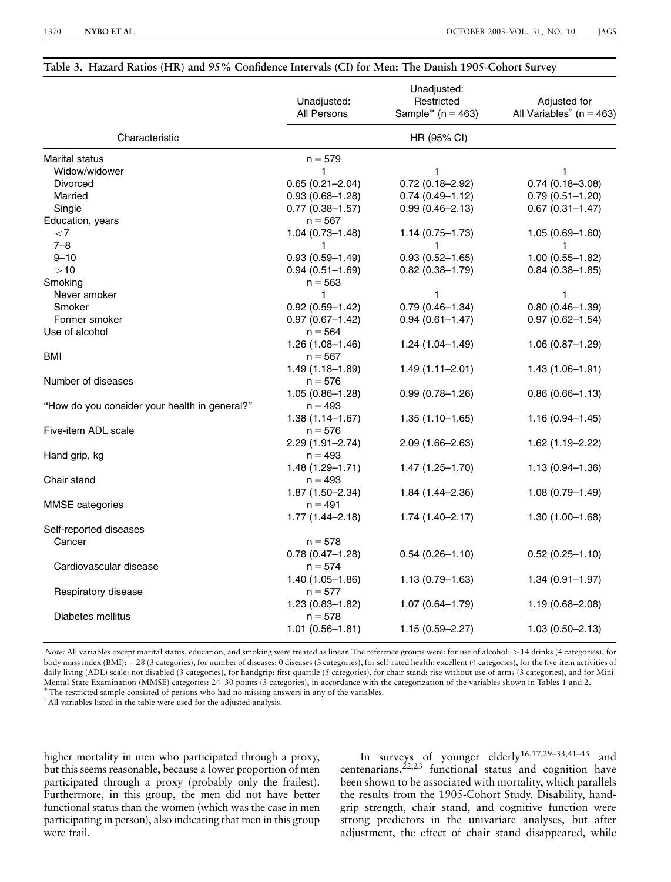#### Table 3. Hazard Ratios (HR) and 95% Confidence Intervals (CI) for Men: The Danish 1905-Cohort Survey

|                                               | Unadjusted:<br>All Persons | Unadjusted:<br>Restricted<br>Sample* ( $n = 463$ ) | Adjusted for<br>All Variables <sup>†</sup> ( $n = 463$ ) |  |  |  |  |
|-----------------------------------------------|----------------------------|----------------------------------------------------|----------------------------------------------------------|--|--|--|--|
| Characteristic                                | HR (95% CI)                |                                                    |                                                          |  |  |  |  |
| Marital status                                | $n = 579$                  |                                                    |                                                          |  |  |  |  |
| Widow/widower                                 | 1                          | 1                                                  | 1                                                        |  |  |  |  |
| Divorced                                      | $0.65(0.21 - 2.04)$        | $0.72(0.18 - 2.92)$                                | $0.74(0.18 - 3.08)$                                      |  |  |  |  |
| Married                                       | $0.93(0.68 - 1.28)$        | $0.74(0.49 - 1.12)$                                | $0.79(0.51 - 1.20)$                                      |  |  |  |  |
| Single                                        | $0.77(0.38 - 1.57)$        | $0.99(0.46 - 2.13)$                                | $0.67(0.31 - 1.47)$                                      |  |  |  |  |
| Education, years                              | $n = 567$                  |                                                    |                                                          |  |  |  |  |
| ${<}7$                                        | $1.04(0.73 - 1.48)$        | $1.14(0.75 - 1.73)$                                | $1.05(0.69 - 1.60)$                                      |  |  |  |  |
| $7 - 8$                                       | 1                          | 1                                                  | 1                                                        |  |  |  |  |
| $9 - 10$                                      | $0.93(0.59 - 1.49)$        | $0.93(0.52 - 1.65)$                                | $1.00(0.55 - 1.82)$                                      |  |  |  |  |
| >10                                           | $0.94(0.51 - 1.69)$        | $0.82(0.38 - 1.79)$                                | $0.84(0.38 - 1.85)$                                      |  |  |  |  |
| Smoking                                       | $n = 563$                  |                                                    |                                                          |  |  |  |  |
| Never smoker                                  | 1                          | 1                                                  | 1                                                        |  |  |  |  |
| Smoker                                        | $0.92(0.59 - 1.42)$        | $0.79(0.46 - 1.34)$                                | $0.80(0.46 - 1.39)$                                      |  |  |  |  |
| Former smoker                                 | $0.97(0.67 - 1.42)$        | $0.94(0.61 - 1.47)$                                | $0.97(0.62 - 1.54)$                                      |  |  |  |  |
| Use of alcohol                                | $n = 564$                  |                                                    |                                                          |  |  |  |  |
|                                               | $1.26(1.08 - 1.46)$        | $1.24(1.04 - 1.49)$                                | $1.06(0.87 - 1.29)$                                      |  |  |  |  |
| <b>BMI</b>                                    | $n = 567$                  |                                                    |                                                          |  |  |  |  |
|                                               | $1.49(1.18 - 1.89)$        | $1.49(1.11 - 2.01)$                                | $1.43(1.06 - 1.91)$                                      |  |  |  |  |
| Number of diseases                            | $n = 576$                  |                                                    |                                                          |  |  |  |  |
|                                               | $1.05(0.86 - 1.28)$        | $0.99(0.78 - 1.26)$                                | $0.86(0.66 - 1.13)$                                      |  |  |  |  |
| "How do you consider your health in general?" | $n = 493$                  |                                                    |                                                          |  |  |  |  |
|                                               | $1.38(1.14 - 1.67)$        | $1.35(1.10-1.65)$                                  | $1.16(0.94 - 1.45)$                                      |  |  |  |  |
| Five-item ADL scale                           | $n = 576$                  |                                                    |                                                          |  |  |  |  |
|                                               | $2.29(1.91 - 2.74)$        | 2.09 (1.66–2.63)                                   | 1.62 (1.19–2.22)                                         |  |  |  |  |
| Hand grip, kg                                 | $n = 493$                  |                                                    |                                                          |  |  |  |  |
|                                               | $1.48(1.29 - 1.71)$        | $1.47(1.25 - 1.70)$                                | $1.13(0.94 - 1.36)$                                      |  |  |  |  |
| Chair stand                                   | $n = 493$                  |                                                    |                                                          |  |  |  |  |
|                                               | 1.87 (1.50-2.34)           | $1.84(1.44 - 2.36)$                                | $1.08(0.79 - 1.49)$                                      |  |  |  |  |
| <b>MMSE</b> categories                        | $n = 491$                  |                                                    |                                                          |  |  |  |  |
|                                               | $1.77(1.44 - 2.18)$        | $1.74(1.40 - 2.17)$                                | $1.30(1.00 - 1.68)$                                      |  |  |  |  |
| Self-reported diseases                        |                            |                                                    |                                                          |  |  |  |  |
| Cancer                                        | $n = 578$                  |                                                    |                                                          |  |  |  |  |
|                                               | $0.78(0.47 - 1.28)$        | $0.54(0.26 - 1.10)$                                | $0.52(0.25 - 1.10)$                                      |  |  |  |  |
| Cardiovascular disease                        | $n = 574$                  |                                                    |                                                          |  |  |  |  |
|                                               | $1.40(1.05 - 1.86)$        | $1.13(0.79 - 1.63)$                                | $1.34(0.91 - 1.97)$                                      |  |  |  |  |
| Respiratory disease                           | $n = 577$                  |                                                    |                                                          |  |  |  |  |
|                                               | $1.23(0.83 - 1.82)$        | $1.07(0.64 - 1.79)$                                | $1.19(0.68 - 2.08)$                                      |  |  |  |  |
| Diabetes mellitus                             | $n = 578$                  |                                                    |                                                          |  |  |  |  |
|                                               | $1.01(0.56 - 1.81)$        | $1.15(0.59 - 2.27)$                                | $1.03(0.50 - 2.13)$                                      |  |  |  |  |
|                                               |                            |                                                    |                                                          |  |  |  |  |

Note: All variables except marital status, education, and smoking were treated as linear. The reference groups were: for use of alcohol: >14 drinks (4 categories), for body mass index (BMI): = 28 (3 categories), for number of diseases: 0 diseases (3 categories), for self-rated health: excellent (4 categories), for the five-item activities of daily living (ADL) scale: not disabled (3 categories), for handgrip: first quartile (5 categories), for chair stand: rise without use of arms (3 categories), and for Mini-Mental State Examination (MMSE) categories: 24–30 points (3 categories), in accordance with the categorization of the variables shown in Tables 1 and 2.<br>\* The restricted sample consisted of persons who had no missing answe

I All variables listed in the table were used for the adjusted analysis.

higher mortality in men who participated through a proxy, but this seems reasonable, because a lower proportion of men participated through a proxy (probably only the frailest). Furthermore, in this group, the men did not have better functional status than the women (which was the case in men participating in person), also indicating that men in this group were frail.

In surveys of younger elderly<sup>16,17,29-33,41-45</sup> and centenarians, $2^{2,23}$  functional status and cognition have been shown to be associated with mortality, which parallels the results from the 1905-Cohort Study. Disability, handgrip strength, chair stand, and cognitive function were strong predictors in the univariate analyses, but after adjustment, the effect of chair stand disappeared, while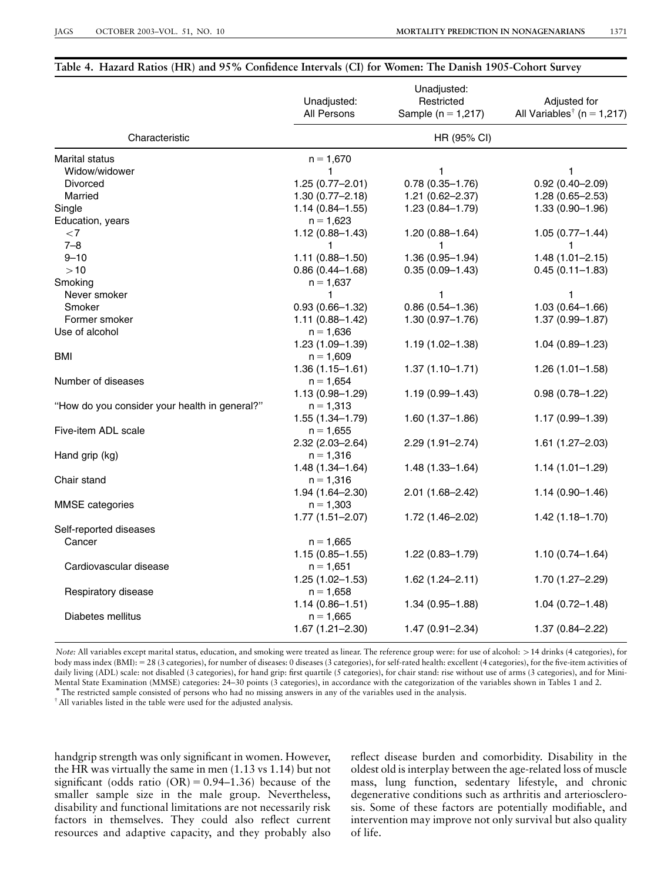## Table 4. Hazard Ratios (HR) and 95% Confidence Intervals (CI) for Women: The Danish 1905-Cohort Survey

|                                               | Unadjusted:<br>All Persons         | Unadjusted:<br>Restricted<br>Sample ( $n = 1,217$ ) | Adjusted for<br>All Variables <sup>†</sup> (n = 1,217) |  |  |  |
|-----------------------------------------------|------------------------------------|-----------------------------------------------------|--------------------------------------------------------|--|--|--|
| Characteristic                                | HR (95% CI)                        |                                                     |                                                        |  |  |  |
| <b>Marital status</b>                         | $n = 1,670$                        |                                                     |                                                        |  |  |  |
| Widow/widower                                 | 1                                  | 1                                                   | 1                                                      |  |  |  |
| Divorced                                      | $1.25(0.77 - 2.01)$                | $0.78(0.35 - 1.76)$                                 | $0.92(0.40 - 2.09)$                                    |  |  |  |
| Married                                       | $1.30(0.77 - 2.18)$                | 1.21 (0.62-2.37)                                    | $1.28(0.65 - 2.53)$                                    |  |  |  |
| Single                                        | $1.14(0.84 - 1.55)$                | $1.23(0.84 - 1.79)$                                 | $1.33(0.90 - 1.96)$                                    |  |  |  |
| Education, years                              | $n = 1,623$                        |                                                     |                                                        |  |  |  |
| ${<}7$                                        | $1.12(0.88 - 1.43)$                | $1.20(0.88 - 1.64)$                                 | $1.05(0.77 - 1.44)$                                    |  |  |  |
| $7 - 8$                                       | 1                                  | 1                                                   | 1                                                      |  |  |  |
| $9 - 10$                                      | $1.11(0.88 - 1.50)$                | $1.36(0.95 - 1.94)$                                 | $1.48(1.01 - 2.15)$                                    |  |  |  |
| >10                                           | $0.86(0.44 - 1.68)$                | $0.35(0.09 - 1.43)$                                 | $0.45(0.11 - 1.83)$                                    |  |  |  |
| Smoking                                       | $n = 1,637$                        |                                                     |                                                        |  |  |  |
| Never smoker                                  | 1                                  | $\mathbf{1}$                                        | 1                                                      |  |  |  |
| Smoker                                        | $0.93(0.66 - 1.32)$                | $0.86(0.54 - 1.36)$                                 | $1.03(0.64 - 1.66)$                                    |  |  |  |
| Former smoker                                 | $1.11(0.88 - 1.42)$                | $1.30(0.97 - 1.76)$                                 | $1.37(0.99 - 1.87)$                                    |  |  |  |
| Use of alcohol                                | $n = 1,636$                        |                                                     |                                                        |  |  |  |
| BMI                                           | $1.23(1.09 - 1.39)$<br>$n = 1,609$ | $1.19(1.02 - 1.38)$                                 | $1.04(0.89 - 1.23)$                                    |  |  |  |
|                                               | $1.36(1.15 - 1.61)$                | $1.37(1.10 - 1.71)$                                 | $1.26(1.01 - 1.58)$                                    |  |  |  |
| Number of diseases                            | $n = 1.654$                        |                                                     |                                                        |  |  |  |
|                                               | 1.13 (0.98-1.29)                   | $1.19(0.99 - 1.43)$                                 | $0.98(0.78 - 1.22)$                                    |  |  |  |
| "How do you consider your health in general?" | $n = 1,313$                        |                                                     |                                                        |  |  |  |
|                                               | 1.55 (1.34–1.79)                   | $1.60(1.37 - 1.86)$                                 | 1.17 (0.99-1.39)                                       |  |  |  |
| Five-item ADL scale                           | $n = 1,655$                        |                                                     |                                                        |  |  |  |
|                                               | $2.32(2.03 - 2.64)$                | $2.29(1.91 - 2.74)$                                 | $1.61(1.27 - 2.03)$                                    |  |  |  |
| Hand grip (kg)                                | $n = 1,316$                        |                                                     |                                                        |  |  |  |
|                                               | $1.48(1.34 - 1.64)$                | $1.48(1.33 - 1.64)$                                 | $1.14(1.01 - 1.29)$                                    |  |  |  |
| Chair stand                                   | $n = 1,316$                        |                                                     |                                                        |  |  |  |
|                                               | 1.94 (1.64-2.30)                   | 2.01 (1.68-2.42)                                    | $1.14(0.90 - 1.46)$                                    |  |  |  |
| <b>MMSE</b> categories                        | $n = 1,303$                        |                                                     |                                                        |  |  |  |
|                                               | $1.77(1.51 - 2.07)$                | 1.72 (1.46-2.02)                                    | $1.42(1.18 - 1.70)$                                    |  |  |  |
| Self-reported diseases                        |                                    |                                                     |                                                        |  |  |  |
| Cancer                                        | $n = 1,665$                        |                                                     |                                                        |  |  |  |
|                                               | $1.15(0.85 - 1.55)$                | 1.22 (0.83-1.79)                                    | $1.10(0.74 - 1.64)$                                    |  |  |  |
| Cardiovascular disease                        | $n = 1,651$                        |                                                     |                                                        |  |  |  |
|                                               | $1.25(1.02 - 1.53)$                | $1.62(1.24 - 2.11)$                                 | 1.70 (1.27-2.29)                                       |  |  |  |
| Respiratory disease                           | $n = 1,658$                        |                                                     |                                                        |  |  |  |
|                                               | $1.14(0.86 - 1.51)$                | $1.34(0.95 - 1.88)$                                 | $1.04(0.72 - 1.48)$                                    |  |  |  |
| Diabetes mellitus                             | $n = 1.665$                        |                                                     |                                                        |  |  |  |
|                                               | $1.67(1.21 - 2.30)$                | $1.47(0.91 - 2.34)$                                 | $1.37(0.84 - 2.22)$                                    |  |  |  |

Note: All variables except marital status, education, and smoking were treated as linear. The reference group were: for use of alcohol: >14 drinks (4 categories), for body mass index (BMI): = 28 (3 categories), for number of diseases: 0 diseases (3 categories), for self-rated health: excellent (4 categories), for the five-item activities of daily living (ADL) scale: not disabled (3 categories), for hand grip: first quartile (5 categories), for chair stand: rise without use of arms (3 categories), and for Mini-Mental State Examination (MMSE) categories: 24–30 points (3 categories), in accordance with the categorization of the variables shown in Tables 1 and 2.<br>\*The restricted sample consisted of persons who had no missing answer

<sup>T</sup> All variables listed in the table were used for the adjusted analysis.

handgrip strength was only significant in women. However, the HR was virtually the same in men (1.13 vs 1.14) but not significant (odds ratio  $(OR) = 0.94-1.36$ ) because of the smaller sample size in the male group. Nevertheless, disability and functional limitations are not necessarily risk factors in themselves. They could also reflect current resources and adaptive capacity, and they probably also

reflect disease burden and comorbidity. Disability in the oldest old is interplay between the age-related loss of muscle mass, lung function, sedentary lifestyle, and chronic degenerative conditions such as arthritis and arteriosclerosis. Some of these factors are potentially modifiable, and intervention may improve not only survival but also quality of life.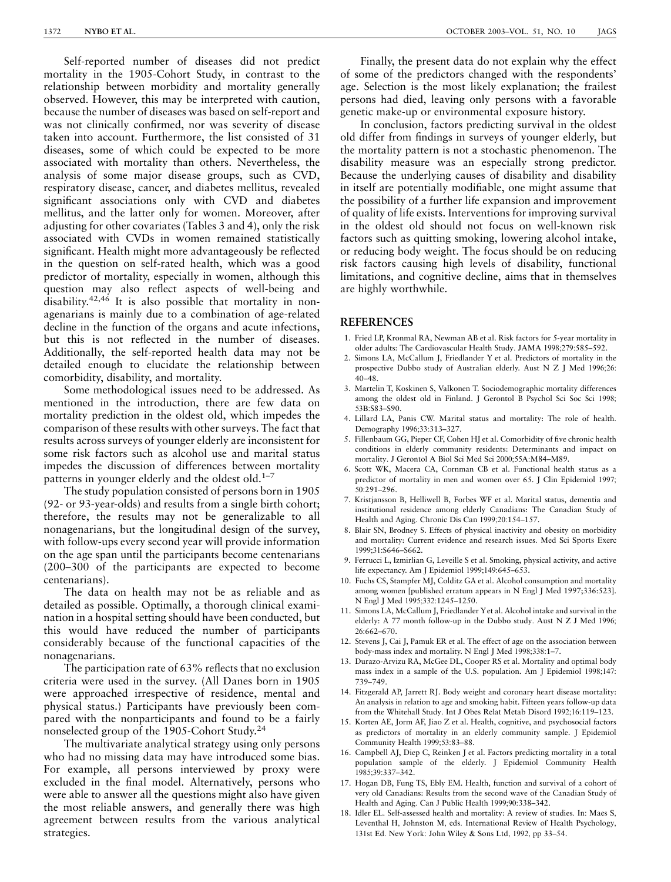Self-reported number of diseases did not predict mortality in the 1905-Cohort Study, in contrast to the relationship between morbidity and mortality generally observed. However, this may be interpreted with caution, because the number of diseases was based on self-report and was not clinically confirmed, nor was severity of disease taken into account. Furthermore, the list consisted of 31 diseases, some of which could be expected to be more associated with mortality than others. Nevertheless, the analysis of some major disease groups, such as CVD, respiratory disease, cancer, and diabetes mellitus, revealed significant associations only with CVD and diabetes mellitus, and the latter only for women. Moreover, after adjusting for other covariates (Tables 3 and 4), only the risk associated with CVDs in women remained statistically significant. Health might more advantageously be reflected in the question on self-rated health, which was a good predictor of mortality, especially in women, although this question may also reflect aspects of well-being and disability.42,46 It is also possible that mortality in nonagenarians is mainly due to a combination of age-related decline in the function of the organs and acute infections, but this is not reflected in the number of diseases. Additionally, the self-reported health data may not be detailed enough to elucidate the relationship between comorbidity, disability, and mortality.

Some methodological issues need to be addressed. As mentioned in the introduction, there are few data on mortality prediction in the oldest old, which impedes the comparison of these results with other surveys. The fact that results across surveys of younger elderly are inconsistent for some risk factors such as alcohol use and marital status impedes the discussion of differences between mortality patterns in younger elderly and the oldest old. $1-7$ 

The study population consisted of persons born in 1905 (92- or 93-year-olds) and results from a single birth cohort; therefore, the results may not be generalizable to all nonagenarians, but the longitudinal design of the survey, with follow-ups every second year will provide information on the age span until the participants become centenarians (200–300 of the participants are expected to become centenarians).

The data on health may not be as reliable and as detailed as possible. Optimally, a thorough clinical examination in a hospital setting should have been conducted, but this would have reduced the number of participants considerably because of the functional capacities of the nonagenarians.

The participation rate of 63% reflects that no exclusion criteria were used in the survey. (All Danes born in 1905 were approached irrespective of residence, mental and physical status.) Participants have previously been compared with the nonparticipants and found to be a fairly nonselected group of the 1905-Cohort Study.24

The multivariate analytical strategy using only persons who had no missing data may have introduced some bias. For example, all persons interviewed by proxy were excluded in the final model. Alternatively, persons who were able to answer all the questions might also have given the most reliable answers, and generally there was high agreement between results from the various analytical strategies.

Finally, the present data do not explain why the effect of some of the predictors changed with the respondents' age. Selection is the most likely explanation; the frailest persons had died, leaving only persons with a favorable genetic make-up or environmental exposure history.

In conclusion, factors predicting survival in the oldest old differ from findings in surveys of younger elderly, but the mortality pattern is not a stochastic phenomenon. The disability measure was an especially strong predictor. Because the underlying causes of disability and disability in itself are potentially modifiable, one might assume that the possibility of a further life expansion and improvement of quality of life exists. Interventions for improving survival in the oldest old should not focus on well-known risk factors such as quitting smoking, lowering alcohol intake, or reducing body weight. The focus should be on reducing risk factors causing high levels of disability, functional limitations, and cognitive decline, aims that in themselves are highly worthwhile.

#### REFERENCES

- 1. Fried LP, Kronmal RA, Newman AB et al. Risk factors for 5-year mortality in older adults: The Cardiovascular Health Study. JAMA 1998;279:585–592.
- 2. Simons LA, McCallum J, Friedlander Y et al. Predictors of mortality in the prospective Dubbo study of Australian elderly. Aust N Z J Med 1996;26: 40–48.
- 3. Martelin T, Koskinen S, Valkonen T. Sociodemographic mortality differences among the oldest old in Finland. J Gerontol B Psychol Sci Soc Sci 1998; 53B:S83–S90.
- 4. Lillard LA, Panis CW. Marital status and mortality: The role of health. Demography 1996;33:313–327.
- 5. Fillenbaum GG, Pieper CF, Cohen HJ et al. Comorbidity of five chronic health conditions in elderly community residents: Determinants and impact on mortality. J Gerontol A Biol Sci Med Sci 2000;55A:M84–M89.
- 6. Scott WK, Macera CA, Cornman CB et al. Functional health status as a predictor of mortality in men and women over 65. J Clin Epidemiol 1997; 50:291–296.
- 7. Kristjansson B, Helliwell B, Forbes WF et al. Marital status, dementia and institutional residence among elderly Canadians: The Canadian Study of Health and Aging. Chronic Dis Can 1999;20:154–157.
- 8. Blair SN, Brodney S. Effects of physical inactivity and obesity on morbidity and mortality: Current evidence and research issues. Med Sci Sports Exerc 1999;31:S646–S662.
- 9. Ferrucci L, Izmirlian G, Leveille S et al. Smoking, physical activity, and active life expectancy. Am J Epidemiol 1999;149:645–653.
- 10. Fuchs CS, Stampfer MJ, Colditz GA et al. Alcohol consumption and mortality among women [published erratum appears in N Engl J Med 1997;336:523]. N Engl J Med 1995;332:1245–1250.
- 11. Simons LA, McCallum J, Friedlander Yet al. Alcohol intake and survival in the elderly: A 77 month follow-up in the Dubbo study. Aust N Z J Med 1996; 26:662–670.
- 12. Stevens J, Cai J, Pamuk ER et al. The effect of age on the association between body-mass index and mortality. N Engl J Med 1998;338:1–7.
- 13. Durazo-Arvizu RA, McGee DL, Cooper RS et al. Mortality and optimal body mass index in a sample of the U.S. population. Am J Epidemiol 1998;147: 739–749.
- 14. Fitzgerald AP, Jarrett RJ. Body weight and coronary heart disease mortality: An analysis in relation to age and smoking habit. Fifteen years follow-up data from the Whitehall Study. Int J Obes Relat Metab Disord 1992;16:119–123.
- 15. Korten AE, Jorm AF, Jiao Z et al. Health, cognitive, and psychosocial factors as predictors of mortality in an elderly community sample. J Epidemiol Community Health 1999;53:83–88.
- 16. Campbell AJ, Diep C, Reinken J et al. Factors predicting mortality in a total population sample of the elderly. J Epidemiol Community Health 1985;39:337–342.
- 17. Hogan DB, Fung TS, Ebly EM. Health, function and survival of a cohort of very old Canadians: Results from the second wave of the Canadian Study of Health and Aging. Can J Public Health 1999;90:338–342.
- 18. Idler EL. Self-assessed health and mortality: A review of studies. In: Maes S, Leventhal H, Johnston M, eds. International Review of Health Psychology, 131st Ed. New York: John Wiley & Sons Ltd, 1992, pp 33–54.